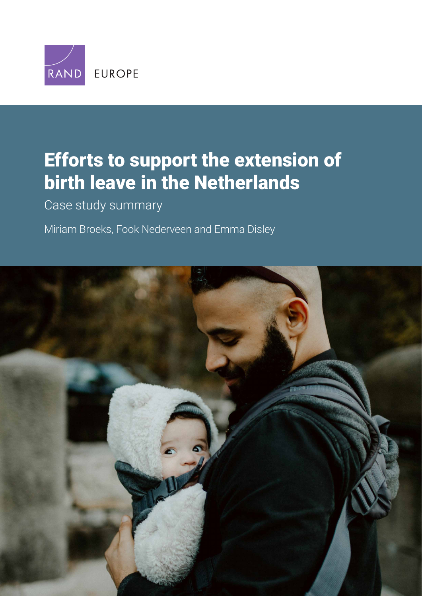

# [Efforts to support the extension of](https://www.rand.org/pubs/research_reports/RRA245-3.html)  birth leave in the Netherlands

Case study summary

Miriam Broeks, Fook Nederveen and Emma Disley

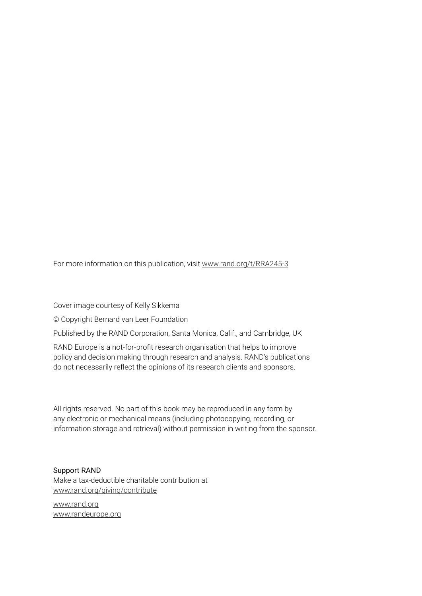For more information on this publication, visit [www.rand.org/t/RRA245-3](http://www.rand.org/t/RRA245-3)

Cover image courtesy of Kelly Sikkema

© Copyright Bernard van Leer Foundation

Published by the RAND Corporation, Santa Monica, Calif., and Cambridge, UK

RAND Europe is a not-for-profit research organisation that helps to improve policy and decision making through research and analysis. RAND's publications do not necessarily reflect the opinions of its research clients and sponsors.

All rights reserved. No part of this book may be reproduced in any form by any electronic or mechanical means (including photocopying, recording, or information storage and retrieval) without permission in writing from the sponsor.

#### Support RAND

Make a tax-deductible charitable contribution at [www.rand.org/giving/contribute](http://www.rand.org/giving/contribute)

[www.rand.org](http://www.rand.org) [www.randeurope.org](http://www.randeurope.org)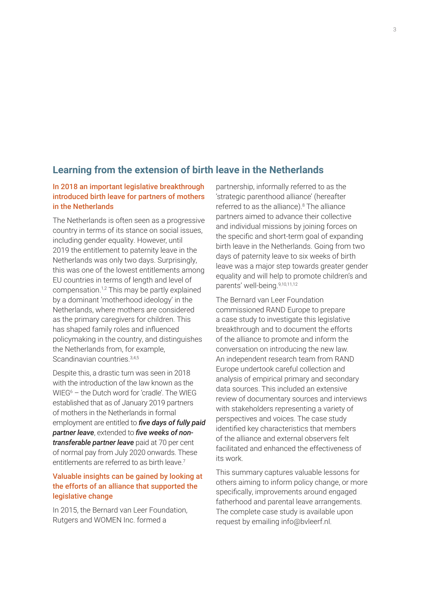## **Learning from the extension of birth leave in the Netherlands**

## In 2018 an important legislative breakthrough introduced birth leave for partners of mothers in the Netherlands

The Netherlands is often seen as a progressive country in terms of its stance on social issues, including gender equality. However, until 2019 the entitlement to paternity leave in the Netherlands was only two days. Surprisingly, this was one of the lowest entitlements among EU countries in terms of length and level of compensation.1,2 This may be partly explained by a dominant 'motherhood ideology' in the Netherlands, where mothers are considered as the primary caregivers for children. This has shaped family roles and influenced policymaking in the country, and distinguishes the Netherlands from, for example, Scandinavian countries.<sup>3,4,5</sup>

Despite this, a drastic turn was seen in 2018 with the introduction of the law known as the WIEG6 – the Dutch word for 'cradle'. The WIEG established that as of January 2019 partners of mothers in the Netherlands in formal employment are entitled to *five days of fully paid partner leave*, extended to *five weeks of nontransferable partner leave* paid at 70 per cent of normal pay from July 2020 onwards. These entitlements are referred to as birth leave  $7$ 

## Valuable insights can be gained by looking at the efforts of an alliance that supported the legislative change

In 2015, the Bernard van Leer Foundation, Rutgers and WOMEN Inc. formed a

partnership, informally referred to as the 'strategic parenthood alliance' (hereafter referred to as the alliance).<sup>8</sup> The alliance partners aimed to advance their collective and individual missions by joining forces on the specific and short-term goal of expanding birth leave in the Netherlands. Going from two days of paternity leave to six weeks of birth leave was a major step towards greater gender equality and will help to promote children's and parents' well-being.9,10,11,12

The Bernard van Leer Foundation commissioned RAND Europe to prepare a case study to investigate this legislative breakthrough and to document the efforts of the alliance to promote and inform the conversation on introducing the new law. An independent research team from RAND Europe undertook careful collection and analysis of empirical primary and secondary data sources. This included an extensive review of documentary sources and interviews with stakeholders representing a variety of perspectives and voices. The case study identified key characteristics that members of the alliance and external observers felt facilitated and enhanced the effectiveness of its work.

This summary captures valuable lessons for others aiming to inform policy change, or more specifically, improvements around engaged fatherhood and parental leave arrangements. The complete case study is available upon request by emailing [info@bvleerf.nl.](mailto:info@bvleerf.nl)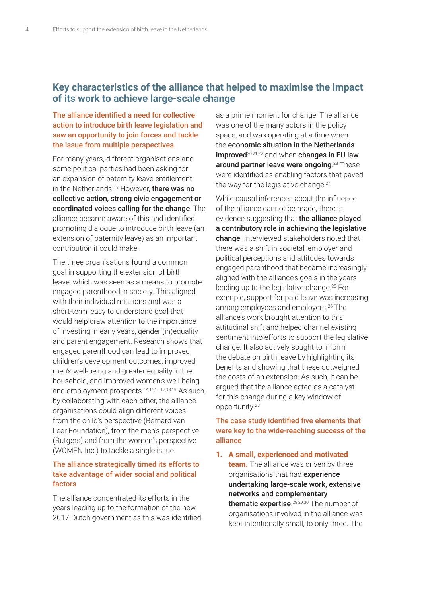## **Key characteristics of the alliance that helped to maximise the impact of its work to achieve large-scale change**

## The alliance identified a need for collective action to introduce birth leave legislation and saw an opportunity to join forces and tackle the issue from multiple perspectives

For many years, different organisations and some political parties had been asking for an expansion of paternity leave entitlement in the Netherlands.<sup>13</sup> However, **there was no** collective action, strong civic engagement or coordinated voices calling for the change. The alliance became aware of this and identified promoting dialogue to introduce birth leave (an extension of paternity leave) as an important contribution it could make.

The three organisations found a common goal in supporting the extension of birth leave, which was seen as a means to promote engaged parenthood in society. This aligned with their individual missions and was a short-term, easy to understand goal that would help draw attention to the importance of investing in early years, gender (in)equality and parent engagement. Research shows that engaged parenthood can lead to improved children's development outcomes, improved men's well-being and greater equality in the household, and improved women's well-being and employment prospects.14,15,16,17,18,19 As such, by collaborating with each other, the alliance organisations could align different voices from the child's perspective (Bernard van Leer Foundation), from the men's perspective (Rutgers) and from the women's perspective (WOMEN Inc.) to tackle a single issue.

### The alliance strategically timed its efforts to take advantage of wider social and political factors

The alliance concentrated its efforts in the years leading up to the formation of the new 2017 Dutch government as this was identified

as a prime moment for change. The alliance was one of the many actors in the policy space, and was operating at a time when the economic situation in the Netherlands  $improved^{20,21,22}$  and when changes in EU law around partner leave were ongoing.<sup>23</sup> These were identified as enabling factors that paved the way for the legislative change.<sup>24</sup>

While causal inferences about the influence of the alliance cannot be made, there is evidence suggesting that the alliance played a contributory role in achieving the legislative change. Interviewed stakeholders noted that there was a shift in societal, employer and political perceptions and attitudes towards engaged parenthood that became increasingly aligned with the alliance's goals in the years leading up to the legislative change.25 For example, support for paid leave was increasing among employees and employers.26 The alliance's work brought attention to this attitudinal shift and helped channel existing sentiment into efforts to support the legislative change. It also actively sought to inform the debate on birth leave by highlighting its benefits and showing that these outweighed the costs of an extension. As such, it can be argued that the alliance acted as a catalyst for this change during a key window of opportunity.27

## The case study identified five elements that were key to the wide-reaching success of the alliance

**1. A small, experienced and motivated team.** The alliance was driven by three organisations that had experience undertaking large-scale work, extensive networks and complementary thematic expertise.<sup>28,29,30</sup> The number of organisations involved in the alliance was kept intentionally small, to only three. The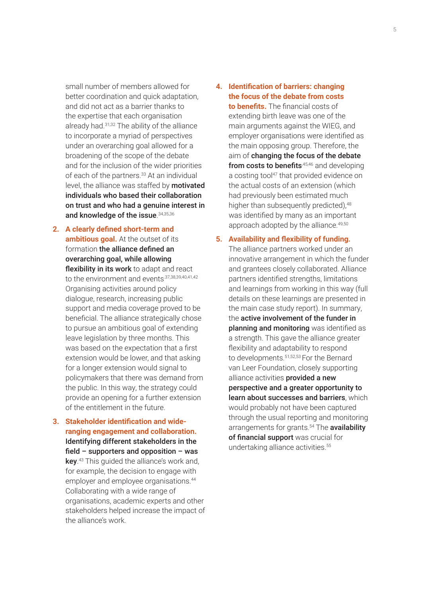small number of members allowed for better coordination and quick adaptation, and did not act as a barrier thanks to the expertise that each organisation already had.31,32 The ability of the alliance to incorporate a myriad of perspectives under an overarching goal allowed for a broadening of the scope of the debate and for the inclusion of the wider priorities of each of the partners.<sup>33</sup> At an individual level, the alliance was staffed by motivated individuals who based their collaboration on trust and who had a genuine interest in and knowledge of the issue. 34,35,36

- **2. A clearly defined short-term and ambitious goal.** At the outset of its formation the alliance defined an overarching goal, while allowing flexibility in its work to adapt and react to the environment and events. 37,38,39,40,41,42 Organising activities around policy dialogue, research, increasing public support and media coverage proved to be beneficial. The alliance strategically chose to pursue an ambitious goal of extending leave legislation by three months. This was based on the expectation that a first extension would be lower, and that asking for a longer extension would signal to policymakers that there was demand from the public. In this way, the strategy could provide an opening for a further extension of the entitlement in the future.
- **3. Stakeholder identification and wideranging engagement and collaboration.**  Identifying different stakeholders in the field – supporters and opposition – was key.<sup>43</sup> This guided the alliance's work and, for example, the decision to engage with employer and employee organisations.44 Collaborating with a wide range of organisations, academic experts and other stakeholders helped increase the impact of the alliance's work.
- **4. Identification of barriers: changing the focus of the debate from costs to benefits.** The financial costs of extending birth leave was one of the main arguments against the WIEG, and employer organisations were identified as the main opposing group. Therefore, the aim of changing the focus of the debate from costs to benefits<sup>,45,46</sup> and developing a costing tool<sup>47</sup> that provided evidence on the actual costs of an extension (which had previously been estimated much higher than subsequently predicted),<sup>48</sup> was identified by many as an important approach adopted by the alliance.49,50
- **5. Availability and flexibility of funding.**

The alliance partners worked under an innovative arrangement in which the funder and grantees closely collaborated. Alliance partners identified strengths, limitations and learnings from working in this way (full details on these learnings are presented in the main case study report). In summary, the active involvement of the funder in planning and monitoring was identified as a strength. This gave the alliance greater flexibility and adaptability to respond to developments.51,52,53 For the Bernard van Leer Foundation, closely supporting alliance activities provided a new perspective and a greater opportunity to learn about successes and barriers, which would probably not have been captured through the usual reporting and monitoring arrangements for grants.<sup>54</sup> The **availability** of financial support was crucial for undertaking alliance activities.<sup>55</sup>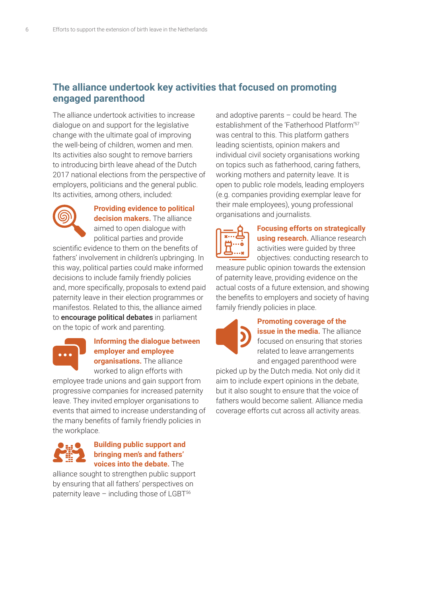## **The alliance undertook key activities that focused on promoting engaged parenthood**

The alliance undertook activities to increase dialogue on and support for the legislative change with the ultimate goal of improving the well-being of children, women and men. Its activities also sought to remove barriers to introducing birth leave ahead of the Dutch 2017 national elections from the perspective of employers, politicians and the general public. Its activities, among others, included:



## **Providing evidence to political decision makers.** The alliance

aimed to open dialogue with political parties and provide scientific evidence to them on the benefits of fathers' involvement in children's upbringing. In this way, political parties could make informed decisions to include family friendly policies

and, more specifically, proposals to extend paid paternity leave in their election programmes or manifestos. Related to this, the alliance aimed to **encourage political debates** in parliament on the topic of work and parenting.



#### **Informing the dialogue between employer and employee organisations.** The alliance

worked to align efforts with

employee trade unions and gain support from progressive companies for increased paternity leave. They invited employer organisations to events that aimed to increase understanding of the many benefits of family friendly policies in the workplace.



## **Building public support and bringing men's and fathers' voices into the debate.** The

alliance sought to strengthen public support by ensuring that all fathers' perspectives on paternity leave  $-$  including those of LGBT $56$ 

and adoptive parents – could be heard. The establishment of the 'Fatherhood Platform'57 was central to this. This platform gathers leading scientists, opinion makers and individual civil society organisations working on topics such as fatherhood, caring fathers, working mothers and paternity leave. It is open to public role models, leading employers (e.g. companies providing exemplar leave for their male employees), young professional organisations and journalists.



**Focusing efforts on strategically using research.** Alliance research activities were guided by three objectives: conducting research to

measure public opinion towards the extension of paternity leave, providing evidence on the actual costs of a future extension, and showing the benefits to employers and society of having family friendly policies in place.



#### **Promoting coverage of the**

**issue in the media.** The alliance focused on ensuring that stories related to leave arrangements and engaged parenthood were

picked up by the Dutch media. Not only did it aim to include expert opinions in the debate, but it also sought to ensure that the voice of fathers would become salient. Alliance media coverage efforts cut across all activity areas.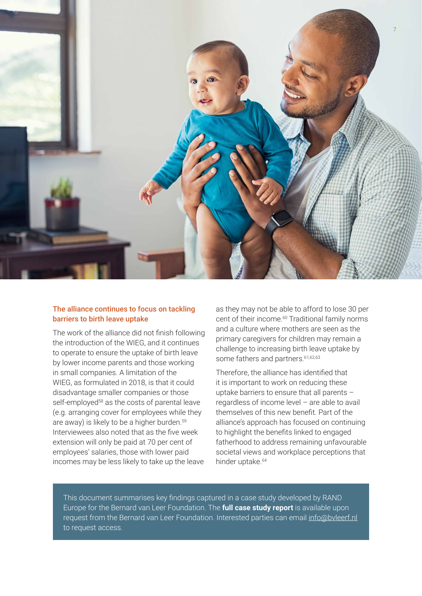

#### The alliance continues to focus on tackling barriers to birth leave uptake

The work of the alliance did not finish following the introduction of the WIEG, and it continues to operate to ensure the uptake of birth leave by lower income parents and those working in small companies. A limitation of the WIEG, as formulated in 2018, is that it could disadvantage smaller companies or those self-employed<sup>58</sup> as the costs of parental leave (e.g. arranging cover for employees while they are away) is likely to be a higher burden.<sup>59</sup> Interviewees also noted that as the five week extension will only be paid at 70 per cent of employees' salaries, those with lower paid incomes may be less likely to take up the leave

as they may not be able to afford to lose 30 per cent of their income.<sup>60</sup> Traditional family norms and a culture where mothers are seen as the primary caregivers for children may remain a challenge to increasing birth leave uptake by some fathers and partners.<sup>61,62,63</sup>

Therefore, the alliance has identified that it is important to work on reducing these uptake barriers to ensure that all parents – regardless of income level – are able to avail themselves of this new benefit. Part of the alliance's approach has focused on continuing to highlight the benefits linked to engaged fatherhood to address remaining unfavourable societal views and workplace perceptions that hinder uptake.<sup>64</sup>

This document summarises key findings captured in a case study developed by RAND Europe for the Bernard van Leer Foundation. The **full case study report** is available upon request from the Bernard van Leer Foundation. Interested parties can email info@byleerf.nl to request access.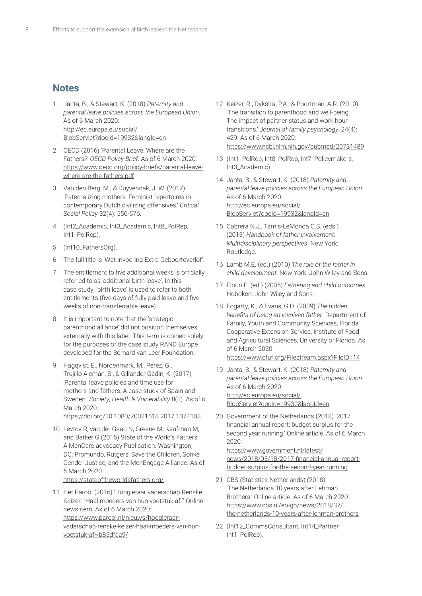## **Notes**

- 1 Janta, B., & Stewart, K. (2018) *Paternity and parental leave policies across the European Union*. As of 6 March 2020: http://ec.europa.eu/social/ [BlobServlet?docId=19932&langId=en](http://ec.europa.eu/social/BlobServlet?docId=19932&langId=en)
- 2 OECD (2016) 'Parental Leave: Where are the Fathers?' *OECD Policy Brief*. As of 6 March 2020: [https://www.oecd.org/policy-briefs/parental-leave](https://www.oecd.org/policy-briefs/parental-leave-where-are-the-fathers.pdf)where-are-the-fathers.pdf
- 3 Van den Berg, M., & Duyvendak, J. W. (2012) 'Paternalizing mothers: Feminist repertoires in contemporary Dutch civilizing offensives.' *Critical Social Policy* 32(4): 556-576.
- 4 (Int2\_Academic, Int3\_Academic, Int8\_PolRep, Int1\_PolRep).
- 5 (Int10\_FathersOrg).
- 6 The full title is 'Wet Invoering Extra Geboorteverlof'.
- 7 The entitlement to five additional weeks is officially referred to as 'additional birth leave'. In this case study, 'birth leave' is used to refer to both entitlements (five days of fully paid leave and five weeks of non-transferrable leave).
- 8 It is important to note that the 'strategic parenthood alliance' did not position themselves externally with this label. This term is coined solely for the purposes of the case study RAND Europe developed for the Bernard van Leer Foundation.
- 9 Hagqvist, E., Nordenmark, M., Pérez, G., Trujillo Alemán, S., & Gillander Gådin, K. (2017) 'Parental leave policies and time use for mothers and fathers: A case study of Spain and Sweden.' *Society, Health & Vulnerability* 8(1). As of 6 March 2020<sup>.</sup> <https://doi.org/10.1080/20021518.2017.1374103>
- 10 Levtov R, van der Gaag N, Greene M, Kaufman M, and Barker G (2015) State of the World's Fathers: A MenCare advocacy Publication. Washington, DC: Promundo, Rutgers, Save the Children, Sonke Gender Justice, and the MenEngage Alliance. As of 6 March 2020: <https://stateoftheworldsfathers.org/>
- 11 Het Parool (2016) 'Hoogleraar vaderschap Renske Keizer: "Haal moeders van hun voetstuk af."' Online news item. As of 6 March 2020: https://www.parool.nl/nieuws/hoogleraar[vaderschap-renske-keizer-haal-moeders-van-hun](https://www.parool.nl/nieuws/hoogleraar-vaderschap-renske-keizer-haal-moeders-van-hun-voetstuk-af~b85dfaa9/)voetstuk-af~b85dfaa9/
- 12 Keizer, R., Dykstra, P.A., & Poortman, A.R. (2010) 'The transition to parenthood and well-being: The impact of partner status and work hour transitions.' *Journal of family psychology*, 24(4): 429. As of 6 March 2020: <https://www.ncbi.nlm.nih.gov/pubmed/20731489>
- 13 (Int1\_PolRep, Int8\_PolRep, Int7\_Policymakers, Int3\_Academic).
- 14 Janta, B., & Stewart, K. (2018) *Paternity and parental leave policies across the European Union*. As of 6 March 2020: http://ec.europa.eu/social/ [BlobServlet?docId=19932&langId=en](http://ec.europa.eu/social/BlobServlet?docId=19932&langId=en)
- 15 Cabrera N.J., Tamis-LeMonda C.S. (eds.) (2013) *Handbook of father involvement: Multidisciplinary perspectives*. New York: Routledge.
- 16 Lamb M.E. (ed.) (2010) *The role of the father in child development*. New York: John Wiley and Sons.
- 17 Flouri E. (ed.) (2005) *Fathering and child outcomes*. Hoboken: John Wiley and Sons.
- 18 Fogarty, K., & Evans, G.D. (2009) *The hidden benefits of being an involved father*. Department of Family, Youth and Community Sciences, Florida Cooperative Extension Service, Institute of Food and Agricultural Sciences, University of Florida. As of 6 March 2020: <https://www.cfuf.org/Filestream.aspx?FileID=14>
- 19 Janta, B., & Stewart, K. (2018) *Paternity and parental leave policies across the European Union*. As of 6 March 2020: http://ec.europa.eu/social/ [BlobServlet?docId=19932&langId=en](http://ec.europa.eu/social/BlobServlet?docId=19932&langId=en)
- 20 Government of the Netherlands (2018) '2017 financial annual report: budget surplus for the second year running.' Online article. As of 6 March 2020:

https://www.government.nl/latest/ [news/2018/05/18/2017-financial-annual-report](https://www.government.nl/latest/news/2018/05/18/2017-financial-annual-report-budget-surplus-for-the-second-year-running)budget-surplus-for-the-second-year-running

- 21 CBS (Statistics Netherlands) (2018) 'The Netherlands 10 years after Lehman Brothers.' Online article. As of 6 March 2020: https://www.cbs.nl/en-gb/news/2018/37/ [the-netherlands-10-years-after-lehman-brothers](https://www.cbs.nl/en-gb/news/2018/37/the-netherlands-10-years-after-lehman-brothers)
- 22 (Int12\_CommsConsultant, Int14\_Partner, Int1\_PolRep).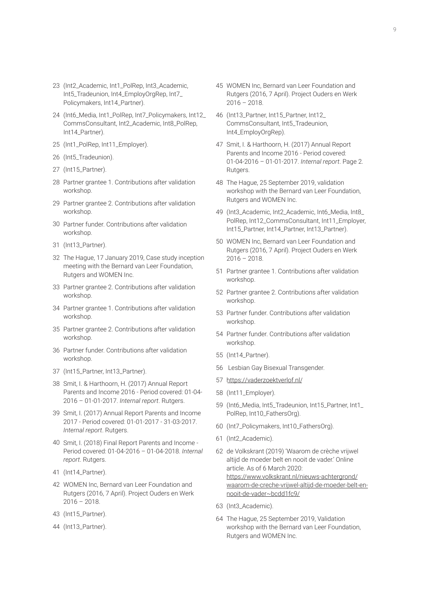- 23 (Int2\_Academic, Int1\_PolRep, Int3\_Academic, Int5\_Tradeunion, Int4\_EmployOrgRep, Int7\_ Policymakers, Int14\_Partner).
- 24 (Int6\_Media, Int1\_PolRep, Int7\_Policymakers, Int12\_ CommsConsultant, Int2\_Academic, Int8\_PolRep, Int14\_Partner).
- 25 (Int1\_PolRep, Int11\_Employer).
- 26 (Int5\_Tradeunion).
- 27 (Int15\_Partner).
- 28 Partner grantee 1. Contributions after validation workshop.
- 29 Partner grantee 2. Contributions after validation workshop.
- 30 Partner funder. Contributions after validation workshop.
- 31 (Int13 Partner).
- 32 The Hague, 17 January 2019, Case study inception meeting with the Bernard van Leer Foundation, Rutgers and WOMEN Inc.
- 33 Partner grantee 2. Contributions after validation workshop.
- 34 Partner grantee 1. Contributions after validation workshop.
- 35 Partner grantee 2. Contributions after validation workshop.
- 36 Partner funder. Contributions after validation workshop.
- 37 (Int15\_Partner, Int13\_Partner).
- 38 Smit, I. & Harthoorn, H. (2017) Annual Report Parents and Income 2016 - Period covered: 01-04- 2016 – 01-01-2017. *Internal report*. Rutgers.
- 39 Smit, I. (2017) Annual Report Parents and Income 2017 - Period covered: 01-01-2017 - 31-03-2017. *Internal report*. Rutgers.
- 40 Smit, I. (2018) Final Report Parents and Income Period covered: 01-04-2016 – 01-04-2018. *Internal report*. Rutgers.
- 41 (Int14\_Partner).
- 42 WOMEN Inc, Bernard van Leer Foundation and Rutgers (2016, 7 April). Project Ouders en Werk 2016 – 2018.
- 43 (Int15\_Partner).
- 44 (Int13\_Partner).
- 45 WOMEN Inc, Bernard van Leer Foundation and Rutgers (2016, 7 April). Project Ouders en Werk  $2016 - 2018$ .
- 46 (Int13 Partner, Int15 Partner, Int12 CommsConsultant, Int5\_Tradeunion, Int4\_EmployOrgRep).
- 47 Smit, I. & Harthoorn, H. (2017) Annual Report Parents and Income 2016 - Period covered: 01-04-2016 – 01-01-2017. *Internal report*. Page 2. Rutgers.
- 48 The Hague, 25 September 2019, validation workshop with the Bernard van Leer Foundation, Rutgers and WOMEN Inc.
- 49 (Int3\_Academic, Int2\_Academic, Int6\_Media, Int8\_ PolRep, Int12\_CommsConsultant, Int11\_Employer, Int15\_Partner, Int14\_Partner, Int13\_Partner).
- 50 WOMEN Inc, Bernard van Leer Foundation and Rutgers (2016, 7 April). Project Ouders en Werk  $2016 - 2018.$
- 51 Partner grantee 1. Contributions after validation workshop.
- 52 Partner grantee 2. Contributions after validation workshop.
- 53 Partner funder. Contributions after validation workshop.
- 54 Partner funder. Contributions after validation workshop.
- 55 (Int14\_Partner).
- 56 Lesbian Gay Bisexual Transgender.
- 57 htt[ps://vaderzoektverlof.nl/](https://vaderzoektverlof.nl/)
- 58 (Int11\_Employer).
- 59 (Int6\_Media, Int5\_Tradeunion, Int15\_Partner, Int1\_ PolRep, Int10\_FathersOrg).
- 60 (Int7\_Policymakers, Int10\_FathersOrg).
- 61 (Int2\_Academic).
- 62 de Volkskrant (2019) 'Waarom de crèche vrijwel altijd de moeder belt en nooit de vader.' Online article. As of 6 March 2020: https://www.volkskrant.nl/nieuws-achtergrond/ [waarom-de-creche-vrijwel-altijd-de-moeder-belt-en](https://www.volkskrant.nl/nieuws-achtergrond/waarom-de-creche-vrijwel-altijd-de-moeder-belt-en-nooit-de-vader~bcdd1fc9/)nooit-de-vader~bcdd1fc9/
- 63 (Int3\_Academic).
- 64 The Hague, 25 September 2019, Validation workshop with the Bernard van Leer Foundation, Rutgers and WOMEN Inc.